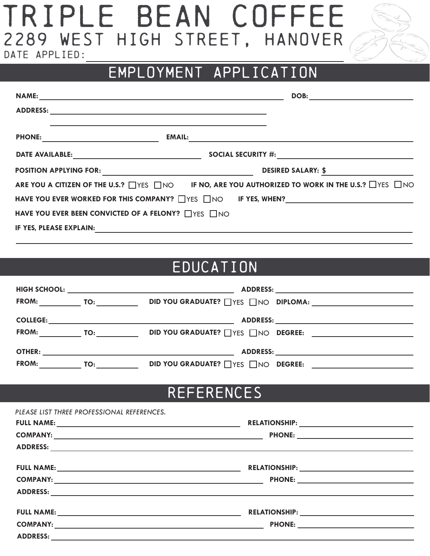# TRIPLE BEAN COFFEE 2289 WEST HIGH STREET, HANOVER DATE APPLIED:



### EMPLOYMENT APPLICATION

|                                                     | DOB:                                                                                                   |
|-----------------------------------------------------|--------------------------------------------------------------------------------------------------------|
|                                                     |                                                                                                        |
|                                                     |                                                                                                        |
|                                                     |                                                                                                        |
|                                                     | DESIRED SALARY: \$                                                                                     |
|                                                     | ARE YOU A CITIZEN OF THE U.S.? THE SAMPLES ON THE NO, ARE YOU AUTHORIZED TO WORK IN THE U.S.? THES THO |
|                                                     |                                                                                                        |
| HAVE YOU EVER BEEN CONVICTED OF A FELONY? THES TIMO |                                                                                                        |
| IF YES, PLEASE EXPLAIN:                             |                                                                                                        |

#### EDUCATION

|                 |     | HIGH SCHOOL: University of the set of the set of the set of the set of the set of the set of the set of the set of the set of the set of the set of the set of the set of the set of the set of the set of the set of the set |                                     |
|-----------------|-----|-------------------------------------------------------------------------------------------------------------------------------------------------------------------------------------------------------------------------------|-------------------------------------|
| <b>FROM:</b>    | TO: |                                                                                                                                                                                                                               | DID YOU GRADUATE? WHES WHO DIPLOMA: |
| <b>COLLEGE:</b> |     | <u> 1989 - Johann John Stone, mars eta biztanleria (</u>                                                                                                                                                                      |                                     |
| <b>FROM:</b>    |     | <b>DID YOU GRADUATE?</b> TYES TINO <b>DEGREE:</b>                                                                                                                                                                             |                                     |
| OTHER:          |     |                                                                                                                                                                                                                               |                                     |
| <b>FROM:</b>    | TO: | DID YOU GRADUATE? THES TIMO DEGREE:                                                                                                                                                                                           |                                     |

#### REFERENCES

| PLEASE LIST THREE PROFESSIONAL REFERENCES. |  |
|--------------------------------------------|--|
|                                            |  |
|                                            |  |
|                                            |  |
|                                            |  |
|                                            |  |
|                                            |  |
|                                            |  |
|                                            |  |
|                                            |  |